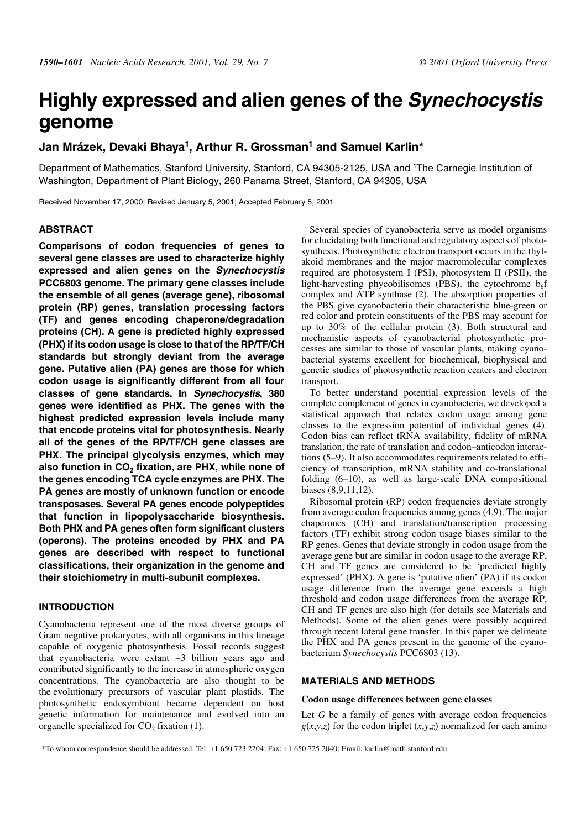# **Highly expressed and alien genes of the Synechocystis genome**

# **Jan Mrázek, Devaki Bhaya1, Arthur R. Grossman1 and Samuel Karlin\***

Department of Mathematics, Stanford University, Stanford, CA 94305-2125, USA and 1The Carnegie Institution of Washington, Department of Plant Biology, 260 Panama Street, Stanford, CA 94305, USA

Received November 17, 2000; Revised January 5, 2001; Accepted February 5, 2001

### **ABSTRACT**

**Comparisons of codon frequencies of genes to several gene classes are used to characterize highly expressed and alien genes on the Synechocystis PCC6803 genome. The primary gene classes include the ensemble of all genes (average gene), ribosomal protein (RP) genes, translation processing factors (TF) and genes encoding chaperone/degradation proteins (CH). A gene is predicted highly expressed (PHX) if its codon usage is close to that of the RP/TF/CH standards but strongly deviant from the average gene. Putative alien (PA) genes are those for which codon usage is significantly different from all four classes of gene standards. In Synechocystis, 380 genes were identified as PHX. The genes with the highest predicted expression levels include many that encode proteins vital for photosynthesis. Nearly all of the genes of the RP/TF/CH gene classes are PHX. The principal glycolysis enzymes, which may** also function in CO<sub>2</sub> fixation, are PHX, while none of **the genes encoding TCA cycle enzymes are PHX. The PA genes are mostly of unknown function or encode transposases. Several PA genes encode polypeptides that function in lipopolysaccharide biosynthesis. Both PHX and PA genes often form significant clusters (operons). The proteins encoded by PHX and PA genes are described with respect to functional classifications, their organization in the genome and their stoichiometry in multi-subunit complexes.**

# **INTRODUCTION**

Cyanobacteria represent one of the most diverse groups of Gram negative prokaryotes, with all organisms in this lineage capable of oxygenic photosynthesis. Fossil records suggest that cyanobacteria were extant ∼3 billion years ago and contributed significantly to the increase in atmospheric oxygen concentrations. The cyanobacteria are also thought to be the evolutionary precursors of vascular plant plastids. The photosynthetic endosymbiont became dependent on host genetic information for maintenance and evolved into an organelle specialized for  $CO<sub>2</sub>$  fixation (1).

Several species of cyanobacteria serve as model organisms for elucidating both functional and regulatory aspects of photosynthesis. Photosynthetic electron transport occurs in the thylakoid membranes and the major macromolecular complexes required are photosystem I (PSI), photosystem II (PSII), the light-harvesting phycobilisomes (PBS), the cytochrome  $b<sub>6</sub>f$ complex and ATP synthase (2). The absorption properties of the PBS give cyanobacteria their characteristic blue-green or red color and protein constituents of the PBS may account for up to 30% of the cellular protein (3). Both structural and mechanistic aspects of cyanobacterial photosynthetic processes are similar to those of vascular plants, making cyanobacterial systems excellent for biochemical, biophysical and genetic studies of photosynthetic reaction centers and electron transport.

To better understand potential expression levels of the complete complement of genes in cyanobacteria, we developed a statistical approach that relates codon usage among gene classes to the expression potential of individual genes (4). Codon bias can reflect tRNA availability, fidelity of mRNA translation, the rate of translation and codon–anticodon interactions (5–9). It also accommodates requirements related to efficiency of transcription, mRNA stability and co-translational folding (6–10), as well as large-scale DNA compositional biases (8,9,11,12).

Ribosomal protein (RP) codon frequencies deviate strongly from average codon frequencies among genes (4,9). The major chaperones (CH) and translation/transcription processing factors (TF) exhibit strong codon usage biases similar to the RP genes. Genes that deviate strongly in codon usage from the average gene but are similar in codon usage to the average RP, CH and TF genes are considered to be 'predicted highly expressed' (PHX). A gene is 'putative alien' (PA) if its codon usage difference from the average gene exceeds a high threshold and codon usage differences from the average RP, CH and TF genes are also high (for details see Materials and Methods). Some of the alien genes were possibly acquired through recent lateral gene transfer. In this paper we delineate the PHX and PA genes present in the genome of the cyanobacterium *Synechocystis* PCC6803 (13).

# **MATERIALS AND METHODS**

## **Codon usage differences between gene classes**

Let *G* be a family of genes with average codon frequencies  $g(x, y, z)$  for the codon triplet  $(x, y, z)$  normalized for each amino

\*To whom correspondence should be addressed. Tel: +1 650 723 2204; Fax: +1 650 725 2040; Email: karlin@math.stanford.edu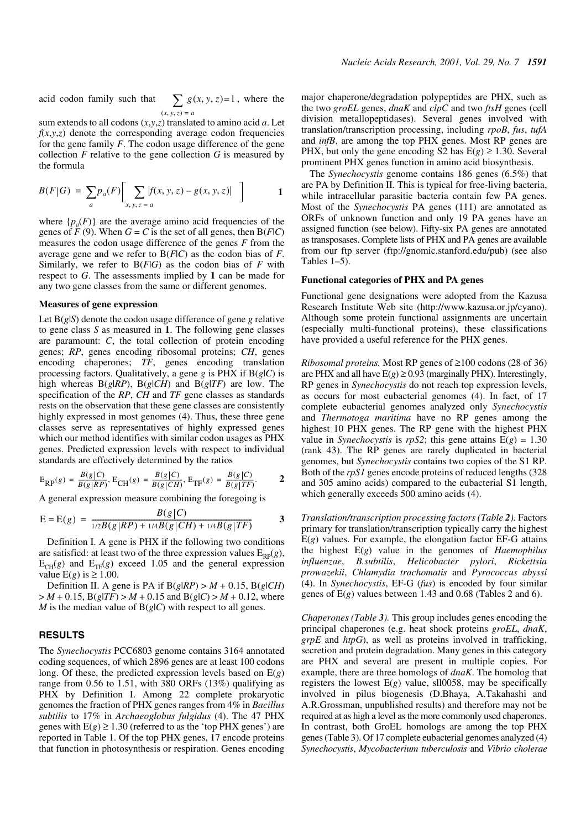acid codon family such that  $\sum g(x, y, z) = 1$  $(x, y, z) = a$ 

sum extends to all codons (*x*,*y*,*z*) translated to amino acid *a*. Let  $f(x, y, z)$  denote the corresponding average codon frequencies for the gene family *F*. The codon usage difference of the gene collection  $F$  relative to the gene collection  $G$  is measured by the formula

$$
B(F|G) = \sum_{a} p_a(F) \left[ \sum_{x, y, z = a} |f(x, y, z) - g(x, y, z)| \right]
$$
 1

where  $\{p_a(F)\}\$ are the average amino acid frequencies of the genes of  $\tilde{F}(9)$ . When  $G = C$  is the set of all genes, then  $B(F|C)$ measures the codon usage difference of the genes *F* from the average gene and we refer to B(*F*|*C*) as the codon bias of *F*. Similarly, we refer to B(*F*|*G*) as the codon bias of *F* with respect to *G*. The assessments implied by **1** can be made for any two gene classes from the same or different genomes.

#### **Measures of gene expression**

Let B(*g*|*S*) denote the codon usage difference of gene *g* relative to gene class *S* as measured in **1**. The following gene classes are paramount: *C*, the total collection of protein encoding genes; *RP*, genes encoding ribosomal proteins; *CH*, genes encoding chaperones; *TF*, genes encoding translation processing factors. Qualitatively, a gene *g* is PHX if B(*g*|*C*) is high whereas  $B(g|RP)$ ,  $B(g|CH)$  and  $B(g|TF)$  are low. The specification of the *RP*, *CH* and *TF* gene classes as standards rests on the observation that these gene classes are consistently highly expressed in most genomes (4). Thus, these three gene classes serve as representatives of highly expressed genes which our method identifies with similar codon usages as PHX genes. Predicted expression levels with respect to individual standards are effectively determined by the ratios

$$
{\rm E}_{\rm RP}(g) = \frac{B(g|C)}{B(g|RP)},\, {\rm E}_{\rm CH}(g) = \frac{B(g|C)}{B(g|CH)},\, {\rm E}_{\rm TF}(g) = \frac{B(g|C)}{B(g|TF)}. \qquad \ \ \, {\bf 2}
$$

A general expression measure combining the foregoing is

$$
E = E(g) = \frac{B(g|C)}{1/2B(g|RP) + 1/4B(g|CH) + 1/4B(g|TF)}
$$
 3

Definition I. A gene is PHX if the following two conditions are satisfied: at least two of the three expression values  $E_{RP}(g)$ ,  $E_{CH}(g)$  and  $E_{TF}(g)$  exceed 1.05 and the general expression value  $E(g)$  is  $\geq 1.00$ .

Definition II. A gene is PA if  $B(g|RP) > M + 0.15$ ,  $B(g|CH)$  $> M + 0.15$ , B( $g(TF) > M + 0.15$  and B( $g(C) > M + 0.12$ , where *M* is the median value of  $B(g|C)$  with respect to all genes.

# **RESULTS**

The *Synechocystis* PCC6803 genome contains 3164 annotated coding sequences, of which 2896 genes are at least 100 codons long. Of these, the predicted expression levels based on E(*g*) range from 0.56 to 1.51, with 380 ORFs (13%) qualifying as PHX by Definition I. Among 22 complete prokaryotic genomes the fraction of PHX genes ranges from 4% in *Bacillus subtilis* to 17% in *Archaeoglobus fulgidus* (4). The 47 PHX genes with  $E(g) \ge 1.30$  (referred to as the 'top PHX genes') are reported in Table 1. Of the top PHX genes, 17 encode proteins that function in photosynthesis or respiration. Genes encoding major chaperone/degradation polypeptides are PHX, such as the two *groEL* genes, *dnaK* and *clpC* and two *ftsH* genes (cell division metallopeptidases). Several genes involved with translation/transcription processing, including *rpoB*, *fus*, *tufA* and *infB*, are among the top PHX genes. Most RP genes are PHX, but only the gene encoding S2 has  $E(g) \ge 1.30$ . Several prominent PHX genes function in amino acid biosynthesis.

The *Synechocystis* genome contains 186 genes (6.5%) that are PA by Definition II. This is typical for free-living bacteria, while intracellular parasitic bacteria contain few PA genes. Most of the *Synechocystis* PA genes (111) are annotated as ORFs of unknown function and only 19 PA genes have an assigned function (see below). Fifty-six PA genes are annotated as transposases. Complete lists of PHX and PA genes are available from our ftp server (ftp://gnomic.stanford.edu/pub) (see also Tables 1–5).

## **Functional categories of PHX and PA genes**

Functional gene designations were adopted from the Kazusa Research Institute Web site (http://www.kazusa.or.jp/cyano). Although some protein functional assignments are uncertain (especially multi-functional proteins), these classifications have provided a useful reference for the PHX genes.

*Ribosomal proteins.* Most RP genes of ≥100 codons (28 of 36) are PHX and all have  $E(g) \ge 0.93$  (marginally PHX). Interestingly, RP genes in *Synechocystis* do not reach top expression levels, as occurs for most eubacterial genomes (4). In fact, of 17 complete eubacterial genomes analyzed only *Synechocystis* and *Thermotoga maritima* have no RP genes among the highest 10 PHX genes. The RP gene with the highest PHX value in *Synechocystis* is  $rpS2$ ; this gene attains  $E(g) = 1.30$ (rank 43). The RP genes are rarely duplicated in bacterial genomes, but *Synechocystis* contains two copies of the S1 RP. Both of the *rpS1* genes encode proteins of reduced lengths (328 and 305 amino acids) compared to the eubacterial S1 length, which generally exceeds 500 amino acids (4).

*Translation/transcription processing factors (Table 2).* Factors primary for translation/transcription typically carry the highest E(*g*) values. For example, the elongation factor EF-G attains the highest E(*g*) value in the genomes of *Haemophilus influenzae*, *B.subtilis*, *Helicobacter pylori*, *Rickettsia prowazekii*, *Chlamydia trachomatis* and *Pyrococcus abyssi* (4). In *Synechocystis*, EF-G (*fus*) is encoded by four similar genes of  $E(g)$  values between 1.43 and 0.68 (Tables 2 and 6).

*Chaperones (Table 3).* This group includes genes encoding the principal chaperones (e.g. heat shock proteins *groEL*, *dnaK*, *grpE* and *htpG*), as well as proteins involved in trafficking, secretion and protein degradation. Many genes in this category are PHX and several are present in multiple copies. For example, there are three homologs of *dnaK*. The homolog that registers the lowest  $E(g)$  value, sll0058, may be specifically involved in pilus biogenesis (D.Bhaya, A.Takahashi and A.R.Grossman, unpublished results) and therefore may not be required at as high a level as the more commonly used chaperones. In contrast, both GroEL homologs are among the top PHX genes (Table 3). Of 17 complete eubacterial genomes analyzed (4) *Synechocystis*, *Mycobacterium tuberculosis* and *Vibrio cholerae*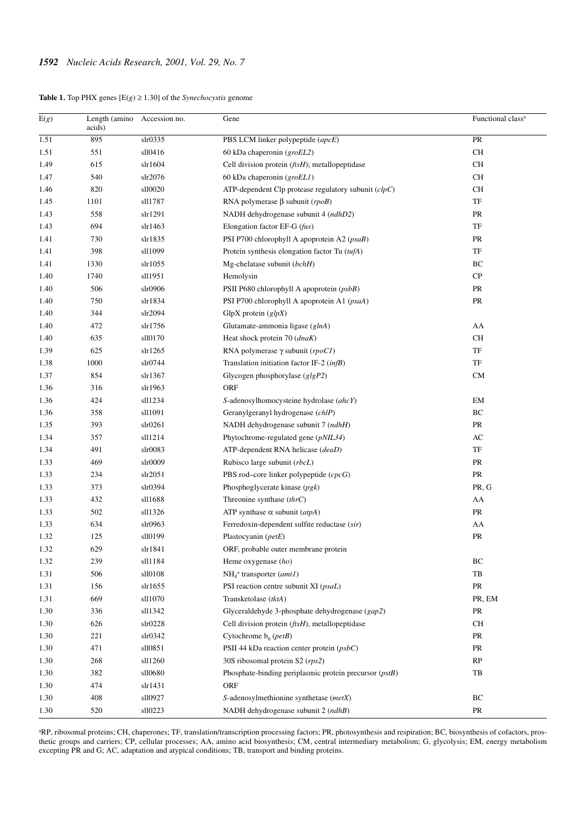| <b>Table 1.</b> Top PHX genes $[E(g) \ge 1.30]$ of the <i>Synechocystis</i> genome |  |  |  |  |
|------------------------------------------------------------------------------------|--|--|--|--|
|                                                                                    |  |  |  |  |

| $\overline{\mathrm{E}(g)}$ | Length (amino<br>acids) | Accession no. | Gene                                                         | Functional class <sup>a</sup> |
|----------------------------|-------------------------|---------------|--------------------------------------------------------------|-------------------------------|
| 1.51                       | 895                     | slr0335       | PBS LCM linker polypeptide (apcE)                            | PR                            |
| 1.51                       | 551                     | sll0416       | 60 kDa chaperonin $(groEL2)$                                 | $\rm CH$                      |
| 1.49                       | 615                     | slr1604       | Cell division protein $(ftsH)$ ; metallopeptidase            | CH                            |
| 1.47                       | 540                     | slr2076       | 60 kDa chaperonin $(groELI)$                                 | СH                            |
| 1.46                       | 820                     | sll0020       | ATP-dependent Clp protease regulatory subunit $(clpC)$       | СH                            |
| 1.45                       | 1101                    | sll1787       | RNA polymerase $\beta$ subunit (rpoB)                        | TF                            |
| 1.43                       | 558                     | slr1291       | NADH dehydrogenase subunit 4 (ndhD2)                         | PR                            |
| 1.43                       | 694                     | slr1463       | Elongation factor EF-G (fus)                                 | TF                            |
| 1.41                       | 730                     | slr1835       | PSI P700 chlorophyll A apoprotein A2 (psaB)                  | PR                            |
| 1.41                       | 398                     | sl11099       | Protein synthesis elongation factor Tu (tufA)                | TF                            |
| 1.41                       | 1330                    | slr1055       | Mg-chelatase subunit (bchH)                                  | $\rm BC$                      |
| 1.40                       | 1740                    | sll1951       | Hemolysin                                                    | CP                            |
| 1.40                       | 506                     | slr0906       | PSII P680 chlorophyll A apoprotein (psbB)                    | PR                            |
| 1.40                       | 750                     | slr1834       | PSI P700 chlorophyll A apoprotein A1 (psaA)                  | PR                            |
| 1.40                       | 344                     | slr2094       | GlpX protein $\left($ glpX)                                  |                               |
| 1.40                       | 472                     | slr1756       | Glutamate-ammonia ligase (glnA)                              | AA                            |
| 1.40                       | 635                     | sll0170       | Heat shock protein 70 (dnaK)                                 | CH                            |
| 1.39                       | 625                     | slr1265       | RNA polymerase $\gamma$ subunit (rpoC1)                      | TF                            |
| 1.38                       | 1000                    | slr0744       | Translation initiation factor IF-2 (infB)                    | TF                            |
| 1.37                       | 854                     | slr1367       | Glycogen phosphorylase $(glgP2)$                             | CM                            |
| 1.36                       | 316                     | slr1963       | ORF                                                          |                               |
| 1.36                       | 424                     | sll1234       | S-adenosylhomocysteine hydrolase (ahcY)                      | EM                            |
| 1.36                       | 358                     | sll1091       | Geranylgeranyl hydrogenase (chlP)                            | ВC                            |
| 1.35                       | 393                     | slr0261       | NADH dehydrogenase subunit 7 (ndhH)                          | PR                            |
| 1.34                       | 357                     | sll1214       | Phytochrome-regulated gene (pNIL34)                          | AC                            |
| 1.34                       | 491                     | s1r0083       | ATP-dependent RNA helicase (deaD)                            | TF                            |
| 1.33                       | 469                     | slr0009       | Rubisco large subunit (rbcL)                                 | PR                            |
| 1.33                       | 234                     | $\sin 2051$   | PBS rod-core linker polypeptide (cpcG)                       | PR                            |
| 1.33                       | 373                     | slr0394       | Phosphoglycerate kinase $(pgk)$                              | PR, G                         |
| 1.33                       | 432                     | sll1688       | Threonine synthase $(thrC)$                                  | AA                            |
| 1.33                       | 502                     | sll1326       | ATP synthase $\alpha$ subunit (atpA)                         | PR                            |
| 1.33                       | 634                     | slr0963       | Ferredoxin-dependent sulfite reductase (sir)                 | AA                            |
| 1.32                       | 125                     | sll0199       | Plastocyanin (petE)                                          | PR                            |
| 1.32                       | 629                     | slr1841       | ORF, probable outer membrane protein                         |                               |
| 1.32                       | 239                     | sll1184       | Heme oxygenase $(ho)$                                        | BC                            |
| 1.31                       | 506                     | sll0108       | $NH4$ <sup>+</sup> transporter (amt1)                        | TB                            |
| 1.31                       | 156                     | slr1655       | PSI reaction centre subunit XI (psaL)                        | PR                            |
| 1.31                       | 669                     | sll1070       | Transketolase (tktA)                                         | PR, EM                        |
| 1.30                       | 336                     | sll1342       | Glyceraldehyde 3-phosphate dehydrogenase (gap2)              | PR                            |
| 1.30                       | 626                     | slr0228       | Cell division protein $(f \circ H)$ , metallopeptidase       | СH                            |
| 1.30                       | 221                     | slr0342       | Cytochrome $b_6$ ( <i>petB</i> )                             | PR                            |
| 1.30                       | 471                     | sll0851       | PSII 44 kDa reaction center protein (psbC)                   | PR                            |
| 1.30                       | 268                     | sll1260       | 30S ribosomal protein S2 (rps2)                              | RP                            |
| 1.30                       | 382                     | sll0680       | Phosphate-binding periplasmic protein precursor (pstB)<br>TB |                               |
| 1.30                       | 474                     | slr1431       | ORF                                                          |                               |
| 1.30                       | 408                     | sll0927       | S-adenosylmethionine synthetase (metX)                       | BC                            |
| 1.30                       | 520                     | sll0223       | NADH dehydrogenase subunit 2 (ndhB)                          | PR                            |

aRP, ribosomal proteins; CH, chaperones; TF, translation/transcription processing factors; PR, photosynthesis and respiration; BC, biosynthesis of cofactors, prosthetic groups and carriers; CP, cellular processes; AA, amino acid biosynthesis; CM, central intermediary metabolism; G, glycolysis; EM, energy metabolism excepting PR and G; AC, adaptation and atypical conditions; TB, transport and binding proteins.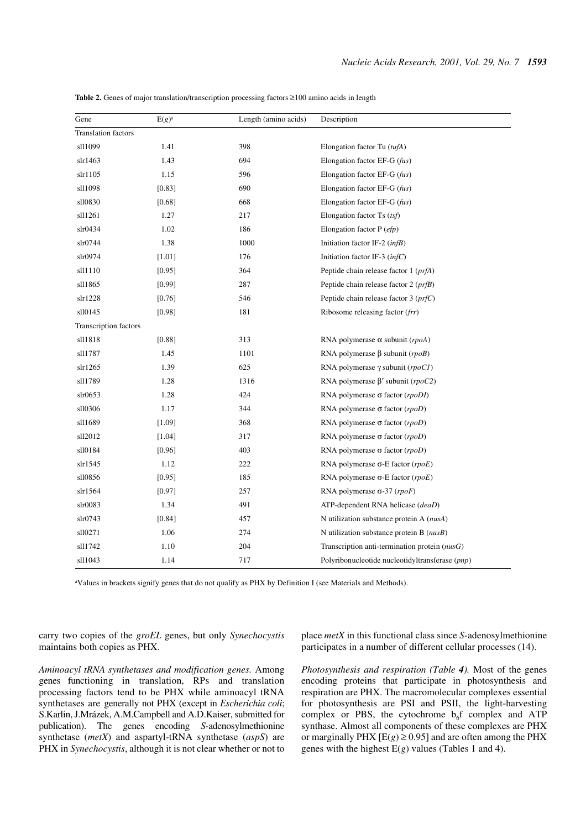| Gene                       | $E(g)^a$ | Length (amino acids) | Description                                       |
|----------------------------|----------|----------------------|---------------------------------------------------|
| <b>Translation factors</b> |          |                      |                                                   |
| sl11099                    | 1.41     | 398                  | Elongation factor Tu $(tufA)$                     |
| slr1463                    | 1.43     | 694                  | Elongation factor EF-G $(fus)$                    |
| slr1105                    | 1.15     | 596                  | Elongation factor EF-G $(fus)$                    |
| sl11098                    | $[0.83]$ | 690                  | Elongation factor EF-G $(fus)$                    |
| sll0830                    | [0.68]   | 668                  | Elongation factor EF-G $(fus)$                    |
| sl11261                    | 1.27     | 217                  | Elongation factor Ts $(tsf)$                      |
| slr0434                    | 1.02     | 186                  | Elongation factor $P (efp)$                       |
| slr0744                    | 1.38     | 1000                 | Initiation factor IF-2 $(infB)$                   |
| slr0974                    | $[1.01]$ | 176                  | Initiation factor IF-3 $(infC)$                   |
| sl1110                     | [0.95]   | 364                  | Peptide chain release factor $1 (prfA)$           |
| sll1865                    | $[0.99]$ | 287                  | Peptide chain release factor $2 (prfB)$           |
| slr1228                    | [0.76]   | 546                  | Peptide chain release factor $3 (prfC)$           |
| sll0145                    | [0.98]   | 181                  | Ribosome releasing factor (frr)                   |
| Transcription factors      |          |                      |                                                   |
| sl11818                    | [0.88]   | 313                  | RNA polymerase $\alpha$ subunit (rpoA)            |
| sl11787                    | 1.45     | 1101                 | RNA polymerase $\beta$ subunit (rpoB)             |
| slr1265                    | 1.39     | 625                  | RNA polymerase $\gamma$ subunit (rpoC1)           |
| sl11789                    | 1.28     | 1316                 | RNA polymerase $\beta'$ subunit (rpoC2)           |
| $s\ln 0653$                | 1.28     | 424                  | RNA polymerase $\sigma$ factor ( <i>rpoDI</i> )   |
| sll0306                    | 1.17     | 344                  | RNA polymerase $\sigma$ factor (rpoD)             |
| sl11689                    | [1.09]   | 368                  | RNA polymerase $\sigma$ factor (rpoD)             |
| sll2012                    | $[1.04]$ | 317                  | RNA polymerase $\sigma$ factor (rpoD)             |
| sll0184                    | [0.96]   | 403                  | RNA polymerase $\sigma$ factor (rpoD)             |
| slr1545                    | 1.12     | 222                  | RNA polymerase $\sigma$ -E factor (rpoE)          |
| sll0856                    | $[0.95]$ | 185                  | RNA polymerase $\sigma$ -E factor (rpoE)          |
| slr1564                    | [0.97]   | 257                  | RNA polymerase $\sigma$ -37 ( <i>rpoF</i> )       |
| s1r0083                    | 1.34     | 491                  | ATP-dependent RNA helicase (deaD)                 |
| slr0743                    | $[0.84]$ | 457                  | N utilization substance protein A ( <i>nusA</i> ) |
| sll0271                    | 1.06     | 274                  | N utilization substance protein B $(nusB)$        |
| sl11742                    | 1.10     | 204                  | Transcription anti-termination protein $(nusG)$   |
| sl11043                    | 1.14     | 717                  | Polyribonucleotide nucleotidyltransferase (pnp)   |

**Table 2.** Genes of major translation/transcription processing factors ≥100 amino acids in length

aValues in brackets signify genes that do not qualify as PHX by Definition I (see Materials and Methods).

carry two copies of the *groEL* genes, but only *Synechocystis* maintains both copies as PHX.

place *metX* in this functional class since *S*-adenosylmethionine participates in a number of different cellular processes (14).

*Aminoacyl tRNA synthetases and modification genes.* Among genes functioning in translation, RPs and translation processing factors tend to be PHX while aminoacyl tRNA synthetases are generally not PHX (except in *Escherichia coli*; S.Karlin, J.Mrázek, A.M.Campbell and A.D.Kaiser, submitted for publication). The genes encoding *S*-adenosylmethionine synthetase (*metX*) and aspartyl-tRNA synthetase (*aspS*) are PHX in *Synechocystis*, although it is not clear whether or not to *Photosynthesis and respiration (Table 4).* Most of the genes encoding proteins that participate in photosynthesis and respiration are PHX. The macromolecular complexes essential for photosynthesis are PSI and PSII, the light-harvesting complex or PBS, the cytochrome  $b<sub>6</sub>f$  complex and ATP synthase. Almost all components of these complexes are PHX or marginally PHX  $[E(g) \ge 0.95]$  and are often among the PHX genes with the highest  $E(g)$  values (Tables 1 and 4).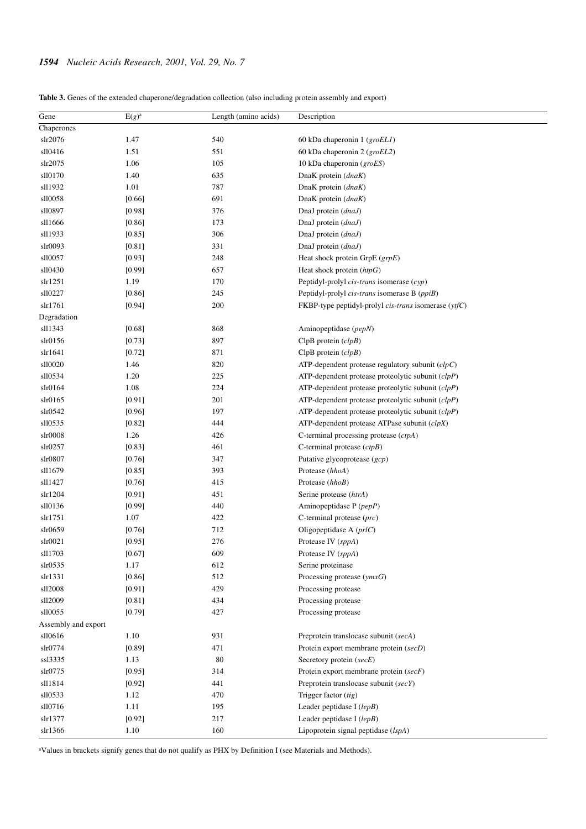| Table 3. Genes of the extended chaperone/degradation collection (also including protein assembly and export) |  |  |  |
|--------------------------------------------------------------------------------------------------------------|--|--|--|
|--------------------------------------------------------------------------------------------------------------|--|--|--|

| Gene                | $E(g)^a$ | Length (amino acids) | Description                                            |
|---------------------|----------|----------------------|--------------------------------------------------------|
| Chaperones          |          |                      |                                                        |
| slr2076             | 1.47     | 540                  | 60 kDa chaperonin $1$ (groEL1)                         |
| sll0416             | 1.51     | 551                  | 60 kDa chaperonin 2 (groEL2)                           |
| slr2075             | 1.06     | 105                  | 10 kDa chaperonin (groES)                              |
| sll0170             | 1.40     | 635                  | DnaK protein (dnaK)                                    |
| sll1932             | 1.01     | 787                  | DnaK protein (dnaK)                                    |
| sll0058             | [0.66]   | 691                  | DnaK protein (dnaK)                                    |
| sll0897             | [0.98]   | 376                  | DnaJ protein (dnaJ)                                    |
| sll1666             | [0.86]   | 173                  | DnaJ protein (dnaJ)                                    |
| sl11933             | [0.85]   | 306                  | DnaJ protein (dnaJ)                                    |
| s1r0093             | [0.81]   | 331                  | DnaJ protein (dnaJ)                                    |
| sll0057             | [0.93]   | 248                  | Heat shock protein GrpE (grpE)                         |
| sll0430             | [0.99]   | 657                  | Heat shock protein $(htpG)$                            |
| slr1251             | 1.19     | 170                  | Peptidyl-prolyl <i>cis-trans</i> isomerase $(cyp)$     |
| sll0227             | [0.86]   | 245                  | Peptidyl-prolyl cis-trans isomerase B (ppiB)           |
| slr1761             | [0.94]   | 200                  | FKBP-type peptidyl-prolyl cis-trans isomerase (ytfC)   |
| Degradation         |          |                      |                                                        |
| sll1343             | [0.68]   | 868                  | Aminopeptidase (pepN)                                  |
| slr0156             | [0.73]   | 897                  | $ClpB$ protein $(clpB)$                                |
| slr1641             | [0.72]   | 871                  | $ClpB$ protein $(clpB)$                                |
| sll0020             | 1.46     | 820                  | ATP-dependent protease regulatory subunit $(clpC)$     |
| sll0534             | 1.20     | 225                  | $ATP$ -dependent protease proteolytic subunit $(clpP)$ |
| slr0164             | 1.08     | 224                  | ATP-dependent protease proteolytic subunit $(clpP)$    |
| slr0165             | [0.91]   | 201                  | $ATP$ -dependent protease proteolytic subunit $(clpP)$ |
| slr0542             | [0.96]   | 197                  | ATP-dependent protease proteolytic subunit $(clpP)$    |
| sll0535             | [0.82]   | 444                  | $ATP$ -dependent protease ATPase subunit $(clpX)$      |
| s1r0008             | 1.26     | 426                  | C-terminal processing protease $(ctpA)$                |
| slr0257             | [0.83]   | 461                  | C-terminal protease $(ctpB)$                           |
| slr0807             | [0.76]   | 347                  | Putative glycoprotease (gcp)                           |
| sl11679             | [0.85]   | 393                  | Protease (hhoA)                                        |
| sll1427             | [0.76]   | 415                  | Protease (hhoB)                                        |
| slr1204             | [0.91]   | 451                  | Serine protease (htrA)                                 |
| sll0136             | [0.99]   | 440                  | Aminopeptidase P (pepP)                                |
| slr1751             | 1.07     | 422                  | C-terminal protease (prc)                              |
| slr0659             | [0.76]   | 712                  | Oligopeptidase A $(prlC)$                              |
| s1r0021             | [0.95]   | 276                  | Protease IV (sppA)                                     |
| sl11703             | [0.67]   | 609                  | Protease IV (sppA)                                     |
| slr0535             | 1.17     | 612                  | Serine proteinase                                      |
| slr1331             | [0.86]   | 512                  | Processing protease $(\textit{ymxG})$                  |
| sll2008             | [0.91]   | 429                  | Processing protease                                    |
| sll2009             | [0.81]   | 434                  | Processing protease                                    |
| sll0055             | [0.79]   | 427                  | Processing protease                                    |
| Assembly and export |          |                      |                                                        |
| sll0616             | 1.10     | 931                  | Preprotein translocase subunit (secA)                  |
| slr0774             | [0.89]   | 471                  | Protein export membrane protein (secD)                 |
| ssl3335             | 1.13     | 80                   | Secretory protein (secE)                               |
| slr0775             | [0.95]   | 314                  | Protein export membrane protein (secF)                 |
| sll1814             | [0.92]   | 441                  | Preprotein translocase subunit (secY)                  |
| sll0533             | 1.12     | 470                  | Trigger factor (tig)                                   |
| sll0716             | 1.11     | 195                  | Leader peptidase I (lepB)                              |
| slr1377             | [0.92]   | 217                  | Leader peptidase I $(lepB)$                            |
| slr1366             | 1.10     | 160                  | Lipoprotein signal peptidase (lspA)                    |

aValues in brackets signify genes that do not qualify as PHX by Definition I (see Materials and Methods).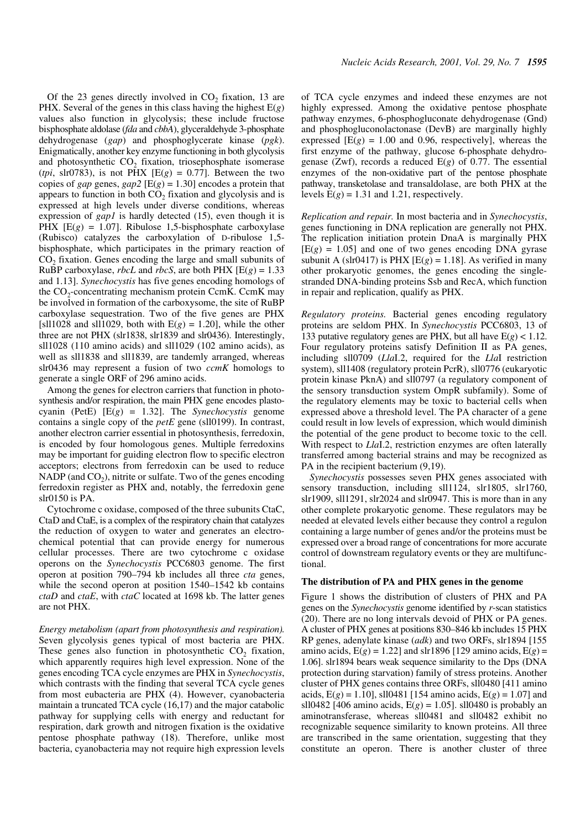Of the  $23$  genes directly involved in  $CO<sub>2</sub>$  fixation, 13 are PHX. Several of the genes in this class having the highest  $E(g)$ values also function in glycolysis; these include fructose bisphosphate aldolase (*fda* and *cbbA*), glyceraldehyde 3-phosphate dehydrogenase (*gap*) and phosphoglycerate kinase (*pgk*). Enigmatically, another key enzyme functioning in both glycolysis and photosynthetic  $CO<sub>2</sub>$  fixation, triosephosphate isomerase (*tpi*, slr0783), is not PHX  $[E(g) = 0.77]$ . Between the two copies of *gap* genes,  $gap2$  [E( $g$ ) = 1.30] encodes a protein that appears to function in both  $CO<sub>2</sub>$  fixation and glycolysis and is expressed at high levels under diverse conditions, whereas expression of *gap1* is hardly detected (15), even though it is PHX [E(g) = 1.07]. Ribulose 1,5-bisphosphate carboxylase (Rubisco) catalyzes the carboxylation of D-ribulose 1,5 bisphosphate, which participates in the primary reaction of CO<sub>2</sub> fixation. Genes encoding the large and small subunits of RuBP carboxylase, *rbcL* and *rbcS*, are both PHX [E(*g*) = 1.33 and 1.13]. *Synechocystis* has five genes encoding homologs of the  $CO_2$ -concentrating mechanism protein CcmK. CcmK may be involved in formation of the carboxysome, the site of RuBP carboxylase sequestration. Two of the five genes are PHX [sll1028 and sll1029, both with  $E(g) = 1.20$ ], while the other three are not PHX (slr1838, slr1839 and slr0436). Interestingly, sll1028 (110 amino acids) and sll1029 (102 amino acids), as well as sll1838 and sll1839, are tandemly arranged, whereas slr0436 may represent a fusion of two *ccmK* homologs to generate a single ORF of 296 amino acids.

Among the genes for electron carriers that function in photosynthesis and/or respiration, the main PHX gene encodes plastocyanin (PetE) [E(*g*) = 1.32]. The *Synechocystis* genome contains a single copy of the *petE* gene (sll0199). In contrast, another electron carrier essential in photosynthesis, ferredoxin, is encoded by four homologous genes. Multiple ferredoxins may be important for guiding electron flow to specific electron acceptors; electrons from ferredoxin can be used to reduce NADP (and  $CO<sub>2</sub>$ ), nitrite or sulfate. Two of the genes encoding ferredoxin register as PHX and, notably, the ferredoxin gene slr0150 is PA.

Cytochrome c oxidase, composed of the three subunits CtaC, CtaD and CtaE, is a complex of the respiratory chain that catalyzes the reduction of oxygen to water and generates an electrochemical potential that can provide energy for numerous cellular processes. There are two cytochrome c oxidase operons on the *Synechocystis* PCC6803 genome. The first operon at position 790–794 kb includes all three *cta* genes, while the second operon at position 1540–1542 kb contains *ctaD* and *ctaE*, with *ctaC* located at 1698 kb. The latter genes are not PHX.

*Energy metabolism (apart from photosynthesis and respiration).* Seven glycolysis genes typical of most bacteria are PHX. These genes also function in photosynthetic  $CO<sub>2</sub>$  fixation, which apparently requires high level expression. None of the genes encoding TCA cycle enzymes are PHX in *Synechocystis*, which contrasts with the finding that several TCA cycle genes from most eubacteria are PHX (4). However, cyanobacteria maintain a truncated TCA cycle (16,17) and the major catabolic pathway for supplying cells with energy and reductant for respiration, dark growth and nitrogen fixation is the oxidative pentose phosphate pathway (18). Therefore, unlike most bacteria, cyanobacteria may not require high expression levels of TCA cycle enzymes and indeed these enzymes are not highly expressed. Among the oxidative pentose phosphate pathway enzymes, 6-phosphogluconate dehydrogenase (Gnd) and phosphogluconolactonase (DevB) are marginally highly expressed  $[E(g) = 1.00$  and 0.96, respectively], whereas the first enzyme of the pathway, glucose 6-phosphate dehydrogenase (Zwf), records a reduced E(*g*) of 0.77. The essential enzymes of the non-oxidative part of the pentose phosphate pathway, transketolase and transaldolase, are both PHX at the levels  $E(g) = 1.31$  and 1.21, respectively.

*Replication and repair.* In most bacteria and in *Synechocystis*, genes functioning in DNA replication are generally not PHX. The replication initiation protein DnaA is marginally PHX  $[E(g) = 1.05]$  and one of two genes encoding DNA gyrase subunit A (slr0417) is PHX  $[E(g) = 1.18]$ . As verified in many other prokaryotic genomes, the genes encoding the singlestranded DNA-binding proteins Ssb and RecA, which function in repair and replication, qualify as PHX.

*Regulatory proteins.* Bacterial genes encoding regulatory proteins are seldom PHX. In *Synechocystis* PCC6803, 13 of 133 putative regulatory genes are PHX, but all have E(*g*) < 1.12. Four regulatory proteins satisfy Definition II as PA genes, including sll0709 (*Lla*I.2, required for the *Lla*I restriction system), sll1408 (regulatory protein PcrR), sll0776 (eukaryotic protein kinase PknA) and sll0797 (a regulatory component of the sensory transduction system OmpR subfamily). Some of the regulatory elements may be toxic to bacterial cells when expressed above a threshold level. The PA character of a gene could result in low levels of expression, which would diminish the potential of the gene product to become toxic to the cell. With respect to *LlaI.2*, restriction enzymes are often laterally transferred among bacterial strains and may be recognized as PA in the recipient bacterium (9,19).

*Synechocystis* possesses seven PHX genes associated with sensory transduction, including sll1124, slr1805, slr1760, slr1909, sll1291, slr2024 and slr0947. This is more than in any other complete prokaryotic genome. These regulators may be needed at elevated levels either because they control a regulon containing a large number of genes and/or the proteins must be expressed over a broad range of concentrations for more accurate control of downstream regulatory events or they are multifunctional.

#### **The distribution of PA and PHX genes in the genome**

Figure 1 shows the distribution of clusters of PHX and PA genes on the *Synechocystis* genome identified by *r*-scan statistics (20). There are no long intervals devoid of PHX or PA genes. A cluster of PHX genes at positions 830–846 kb includes 15 PHX RP genes, adenylate kinase (*adk*) and two ORFs, slr1894 [155 amino acids,  $E(g) = 1.22$ ] and slr1896 [129 amino acids,  $E(g) =$ 1.06]. slr1894 bears weak sequence similarity to the Dps (DNA protection during starvation) family of stress proteins. Another cluster of PHX genes contains three ORFs, sll0480 [411 amino acids,  $E(g) = 1.10$ ], sll0481 [154 amino acids,  $E(g) = 1.07$ ] and sll0482 [406 amino acids,  $E(g) = 1.05$ ]. sll0480 is probably an aminotransferase, whereas sll0481 and sll0482 exhibit no recognizable sequence similarity to known proteins. All three are transcribed in the same orientation, suggesting that they constitute an operon. There is another cluster of three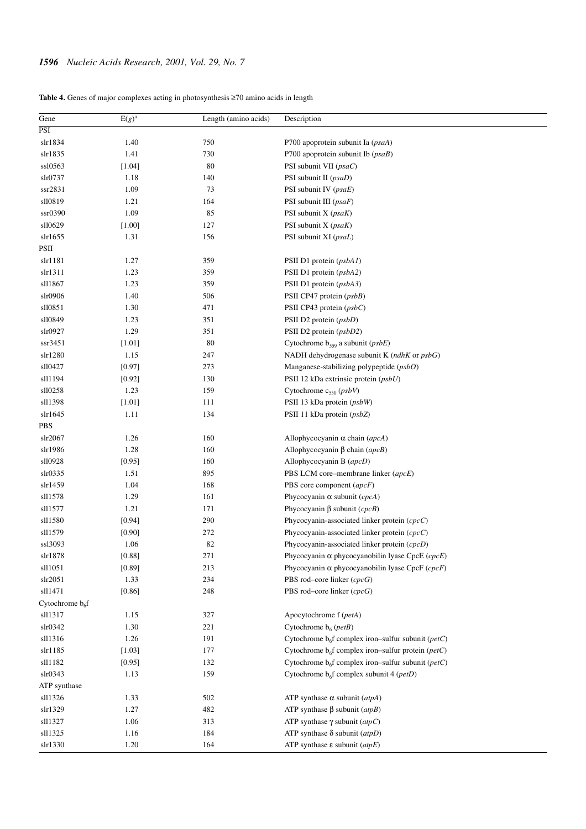**Table 4.** Genes of major complexes acting in photosynthesis ≥70 amino acids in length

| Gene               | $\overline{E(g)^a}$ | Length (amino acids) | Description                                                     |
|--------------------|---------------------|----------------------|-----------------------------------------------------------------|
| PSI                |                     |                      |                                                                 |
| slr1834            | 1.40                | 750                  | P700 apoprotein subunit Ia (psaA)                               |
| slr1835            | 1.41                | 730                  | P700 apoprotein subunit Ib $(psaB)$                             |
| ssl0563            | [1.04]              | 80                   | PSI subunit VII (psaC)                                          |
| slr0737            | 1.18                | 140                  | PSI subunit II (psaD)                                           |
| ssr2831            | 1.09                | 73                   | PSI subunit IV (psaE)                                           |
| sll0819            | 1.21                | 164                  | PSI subunit III $(psaF)$                                        |
| ssr0390            | 1.09                | 85                   | PSI subunit $X$ ( <i>psaK</i> )                                 |
| sll0629            | $[1.00]$            | 127                  | PSI subunit X (psaK)                                            |
| slr1655            | 1.31                | 156                  | PSI subunit XI (psaL)                                           |
| PSII               |                     |                      |                                                                 |
| slr1181            | 1.27                | 359                  | PSII D1 protein $(psbAI)$                                       |
| slr1311            | 1.23                | 359                  | PSII D1 protein (psbA2)                                         |
| sl11867            | 1.23                | 359                  | PSII D1 protein (psbA3)                                         |
| slr0906            | 1.40                | 506                  | PSII CP47 protein (psbB)                                        |
| sll0851            | 1.30                | 471                  | PSII CP43 protein (psbC)                                        |
| sll0849            | 1.23                | 351                  | PSII D2 protein (psbD)                                          |
| slr0927            | 1.29                | 351                  | PSII D2 protein (psbD2)                                         |
| ssr3451            | [1.01]              | 80                   | Cytochrome $b_{559}$ a subunit ( $psbE$ )                       |
| slr1280            | 1.15                | 247                  | NADH dehydrogenase subunit K $(ndhK$ or $psbG$ )                |
| sll0427            | [0.97]              | 273                  | Manganese-stabilizing polypeptide $(psbO)$                      |
| sll1194            | [0.92]              | 130                  | PSII 12 kDa extrinsic protein (psbU)                            |
| sll0258            | 1.23                | 159                  | Cytochrome $c_{550}$ (psbV)                                     |
| sl11398            | $[1.01]$            | 111                  | PSII 13 kDa protein (psbW)                                      |
| slr1645            | 1.11                | 134                  | PSII 11 kDa protein (psbZ)                                      |
| PBS                |                     |                      |                                                                 |
| slr2067            | 1.26                | 160                  | Allophycocyanin $\alpha$ chain (apcA)                           |
| slr1986            | 1.28                | 160                  | Allophycocyanin $\beta$ chain (apcB)                            |
| sll0928            | [0.95]              | 160                  | Allophycocyanin B (apcD)                                        |
| slr0335            | 1.51                | 895                  | PBS LCM core-membrane linker (apcE)                             |
| slr1459            | 1.04                | 168                  | PBS core component (apcF)                                       |
| sl11578            | 1.29                | 161                  | Phycocyanin $\alpha$ subunit (cpcA)                             |
| sll1577            | 1.21                | 171                  | Phycocyanin $\beta$ subunit ( <i>cpcB</i> )                     |
| sl11580            | [0.94]              | 290                  | Phycocyanin-associated linker protein $(cpcC)$                  |
| sl11579            | [0.90]              | 272                  | Phycocyanin-associated linker protein $(cpcC)$                  |
| ss13093            | 1.06                | 82                   | Phycocyanin-associated linker protein (cpcD)                    |
| $\mathrm{slr}1878$ | [0.88]              | 271                  | Phycocyanin $\alpha$ phycocyanobilin lyase CpcE ( $cpcE$ )      |
| sl11051            | [0.89]              | 213                  | Phycocyanin $\alpha$ phycocyanobilin lyase CpcF ( <i>cpcF</i> ) |
| slr2051            | 1.33                | 234                  | PBS rod-core linker (cpcG)                                      |
| sll1471            | [0.86]              | 248                  | PBS rod-core linker $(cpcG)$                                    |
| Cytochrome $b_6f$  |                     |                      |                                                                 |
| sl11317            | 1.15                | 327                  | Apocytochrome f (petA)                                          |
| slr0342            | 1.30                | 221                  | Cytochrome $b_6$ ( <i>petB</i> )                                |
| sll1316            | 1.26                | 191                  | Cytochrome $b6f$ complex iron–sulfur subunit ( <i>petC</i> )    |
| slr1185            | $[1.03]$            | 177                  | Cytochrome $b_6f$ complex iron-sulfur protein ( <i>petC</i> )   |
| sll1182            | [0.95]              | 132                  | Cytochrome $b_6f$ complex iron–sulfur subunit ( <i>petC</i> )   |
| slr0343            | 1.13                | 159                  | Cytochrome $b_6f$ complex subunit 4 ( <i>petD</i> )             |
| ATP synthase       |                     |                      |                                                                 |
| sll1326            | 1.33                | 502                  | ATP synthase $\alpha$ subunit (atpA)                            |
| slr1329            | 1.27                | 482                  | ATP synthase $\beta$ subunit (atpB)                             |
| sll1327            | 1.06                | 313                  | ATP synthase $\gamma$ subunit (atpC)                            |
| sll1325            | 1.16                | 184                  | ATP synthase $\delta$ subunit (atpD)                            |
| slr1330            | 1.20                | 164                  | ATP synthase $\varepsilon$ subunit (atpE)                       |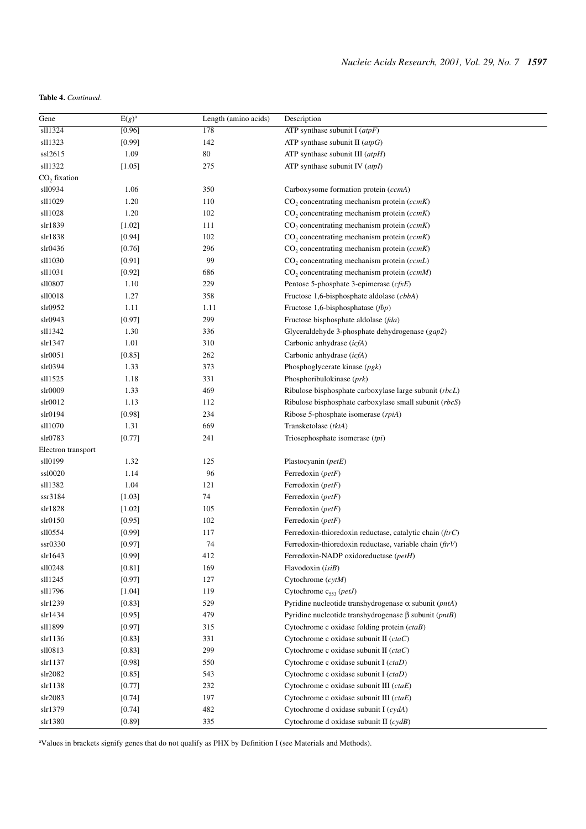# **Table 4.** *Continued*.

| Gene               | $E(g)^a$ | Length (amino acids) | Description                                                           |
|--------------------|----------|----------------------|-----------------------------------------------------------------------|
| sll1324            | [0.96]   | 178                  | ATP synthase subunit I $(atpF)$                                       |
| sll1323            | [0.99]   | 142                  | ATP synthase subunit II $(atpG)$                                      |
| ssl2615            | 1.09     | 80                   | ATP synthase subunit III $(atpH)$                                     |
| sll1322            | [1.05]   | 275                  | ATP synthase subunit IV $(atpI)$                                      |
| $CO2$ fixation     |          |                      |                                                                       |
| sll0934            | 1.06     | 350                  | Carboxysome formation protein (ccmA)                                  |
| sl11029            | 1.20     | 110                  | $CO2$ concentrating mechanism protein (ccmK)                          |
| sl11028            | 1.20     | 102                  | $CO2$ concentrating mechanism protein (ccmK)                          |
| slr1839            | [1.02]   | 111                  | $CO2$ concentrating mechanism protein (ccmK)                          |
| slr1838            | [0.94]   | 102                  | $CO2$ concentrating mechanism protein (ccmK)                          |
| slr0436            | [0.76]   | 296                  | $CO2$ concentrating mechanism protein (ccmK)                          |
| sll1030            | [0.91]   | 99                   | $CO2$ concentrating mechanism protein (ccmL)                          |
| sl11031            | [0.92]   | 686                  | $CO2$ concentrating mechanism protein (ccmM)                          |
| sll0807            | 1.10     | 229                  | Pentose 5-phosphate 3-epimerase $(cfxE)$                              |
| sll0018            | 1.27     | 358                  | Fructose 1,6-bisphosphate aldolase (cbbA)                             |
| slr0952            | 1.11     | 1.11                 | Fructose 1,6-bisphosphatase (fbp)                                     |
| slr0943            | [0.97]   | 299                  | Fructose bisphosphate aldolase (fda)                                  |
| sll1342            | 1.30     | 336                  | Glyceraldehyde 3-phosphate dehydrogenase (gap2)                       |
| slr1347            | 1.01     | 310                  | Carbonic anhydrase (icfA)                                             |
| slr0051            | [0.85]   | 262                  | Carbonic anhydrase (icfA)                                             |
| slr0394            | 1.33     | 373                  | Phosphoglycerate kinase $(pgk)$                                       |
| sll1525            | 1.18     | 331                  | Phosphoribulokinase (prk)                                             |
| slr0009            | 1.33     | 469                  | Ribulose bisphosphate carboxylase large subunit (rbcL)                |
| slr0012            | 1.13     | 112                  | Ribulose bisphosphate carboxylase small subunit (rbcS)                |
| slr0194            | [0.98]   | 234                  | Ribose 5-phosphate isomerase (rpiA)                                   |
| sl11070            | 1.31     | 669                  | Transketolase (tktA)                                                  |
| slr0783            | [0.77]   | 241                  | Triosephosphate isomerase (tpi)                                       |
| Electron transport |          |                      |                                                                       |
| sll0199            | 1.32     | 125                  | Plastocyanin (petE)                                                   |
| ssl0020            | 1.14     | 96                   | Ferredoxin (petF)                                                     |
| sll1382            | 1.04     | 121                  | Ferredoxin (petF)                                                     |
| ssr3184            | [1.03]   | 74                   | Ferredoxin (petF)                                                     |
| slr1828            | [1.02]   | 105                  | Ferredoxin (petF)                                                     |
| slr0150            | [0.95]   | 102                  | Ferredoxin ( $petF$ )                                                 |
| sll0554            | [0.99]   | 117                  | Ferredoxin-thioredoxin reductase, catalytic chain (ftrC)              |
| ssr0330            | [0.97]   | 74                   | Ferredoxin-thioredoxin reductase, variable chain $(f\,W)$             |
| slr1643            | [0.99]   | 412                  | Ferredoxin-NADP oxidoreductase (petH)                                 |
| sll0248            | [0.81]   | 169                  | Flavodoxin (isiB)                                                     |
| sll1245            | [0.97]   | 127                  | Cytochrome $(cytM)$                                                   |
| sll1796            | [1.04]   | 119                  | Cytochrome $c_{553}$ ( <i>petJ</i> )                                  |
| slr1239            | [0.83]   | 529                  | Pyridine nucleotide transhydrogenase $\alpha$ subunit ( <i>pntA</i> ) |
| slr1434            | [0.95]   | 479                  | Pyridine nucleotide transhydrogenase $\beta$ subunit ( <i>pntB</i> )  |
| sl11899            | [0.97]   | 315                  | Cytochrome c oxidase folding protein (ctaB)                           |
| slr1136            | [0.83]   | 331                  | Cytochrome c oxidase subunit II (ctaC)                                |
| sll0813            | [0.83]   | 299                  | Cytochrome c oxidase subunit II (ctaC)                                |
| slr1137            | [0.98]   | 550                  | Cytochrome c oxidase subunit I (ctaD)                                 |
| slr2082            | [0.85]   | 543                  | Cytochrome c oxidase subunit I (ctaD)                                 |
| slr1138            | [0.77]   | 232                  | Cytochrome c oxidase subunit III (ctaE)                               |
| slr2083            | [0.74]   | 197                  | Cytochrome c oxidase subunit III (ctaE)                               |
| slr1379            | [0.74]   | 482                  | Cytochrome d oxidase subunit I (cydA)                                 |
| slr1380            | [0.89]   | 335                  | Cytochrome d oxidase subunit II $(c \, y \, dB)$                      |

aValues in brackets signify genes that do not qualify as PHX by Definition I (see Materials and Methods).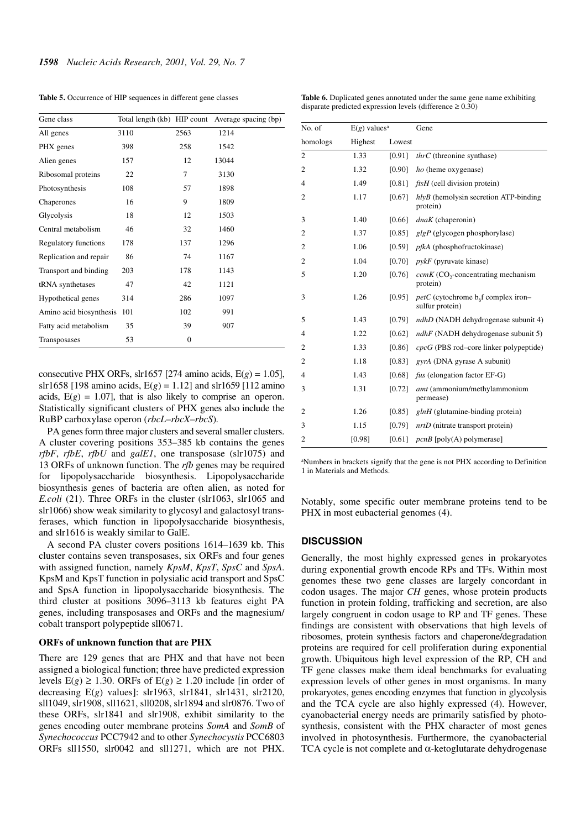**Table 5.** Occurrence of HIP sequences in different gene classes

| Gene class                  | Total length (kb) HIP count |              | Average spacing (bp) |
|-----------------------------|-----------------------------|--------------|----------------------|
| All genes                   | 3110                        | 2563         | 1214                 |
| PHX genes                   | 398                         | 258          | 1542                 |
| Alien genes                 | 157                         | 12           | 13044                |
| Ribosomal proteins          | 22                          | 7            | 3130                 |
| Photosynthesis              | 108                         | 57           | 1898                 |
| Chaperones                  | 16                          | 9            | 1809                 |
| Glycolysis                  | 18                          | 12           | 1503                 |
| Central metabolism          | 46                          | 32           | 1460                 |
| <b>Regulatory functions</b> | 178                         | 137          | 1296                 |
| Replication and repair      | 86                          | 74           | 1167                 |
| Transport and binding       | 203                         | 178          | 1143                 |
| tRNA synthetases            | 47                          | 42           | 1121                 |
| Hypothetical genes          | 314                         | 286          | 1097                 |
| Amino acid biosynthesis 101 |                             | 102          | 991                  |
| Fatty acid metabolism       | 35                          | 39           | 907                  |
| Transposases                | 53                          | $\mathbf{0}$ |                      |

consecutive PHX ORFs, slr1657 [274 amino acids,  $E(g) = 1.05$ ], slr1658 [198 amino acids,  $E(g) = 1.12$ ] and slr1659 [112 amino acids,  $E(g) = 1.07$ , that is also likely to comprise an operon. Statistically significant clusters of PHX genes also include the RuBP carboxylase operon (*rbcL*–*rbcX*–*rbcS*).

PA genes form three major clusters and several smaller clusters. A cluster covering positions 353–385 kb contains the genes *rfbF*, *rfbE*, *rfbU* and *galE1*, one transposase (slr1075) and 13 ORFs of unknown function. The *rfb* genes may be required for lipopolysaccharide biosynthesis. Lipopolysaccharide biosynthesis genes of bacteria are often alien, as noted for *E.coli* (21). Three ORFs in the cluster (slr1063, slr1065 and slr1066) show weak similarity to glycosyl and galactosyl transferases, which function in lipopolysaccharide biosynthesis, and slr1616 is weakly similar to GalE.

A second PA cluster covers positions 1614–1639 kb. This cluster contains seven transposases, six ORFs and four genes with assigned function, namely *KpsM*, *KpsT*, *SpsC* and *SpsA*. KpsM and KpsT function in polysialic acid transport and SpsC and SpsA function in lipopolysaccharide biosynthesis. The third cluster at positions 3096–3113 kb features eight PA genes, including transposases and ORFs and the magnesium/ cobalt transport polypeptide sll0671.

#### **ORFs of unknown function that are PHX**

There are 129 genes that are PHX and that have not been assigned a biological function; three have predicted expression levels  $E(g) \ge 1.30$ . ORFs of  $E(g) \ge 1.20$  include [in order of decreasing E(*g*) values]: slr1963, slr1841, slr1431, slr2120, sll1049, slr1908, sll1621, sll0208, slr1894 and slr0876. Two of these ORFs, slr1841 and slr1908, exhibit similarity to the genes encoding outer membrane proteins *SomA* and *SomB* of *Synechococcus* PCC7942 and to other *Synechocystis* PCC6803 ORFs sll1550, slr0042 and sll1271, which are not PHX.

| No. of         | $E(g)$ values <sup>a</sup> |        | Gene                                                         |
|----------------|----------------------------|--------|--------------------------------------------------------------|
| homologs       | Highest                    | Lowest |                                                              |
| $\overline{c}$ | 1.33                       | [0.91] | $thrC$ (threonine synthase)                                  |
| 2              | 1.32                       | [0.90] | ho (heme oxygenase)                                          |
| 4              | 1.49                       | [0.81] | $ftsH$ (cell division protein)                               |
| 2              | 1.17                       | [0.67] | $hlyB$ (hemolysin secretion ATP-binding<br>protein)          |
| 3              | 1.40                       | [0.66] | $dnaK$ (chaperonin)                                          |
| $\overline{c}$ | 1.37                       | [0.85] | $glgP$ (glycogen phosphorylase)                              |
| 2              | 1.06                       | [0.59] | <i>pfkA</i> (phosphofructokinase)                            |
| $\overline{2}$ | 1.04                       | [0.70] | $p\psi kF$ (pyruvate kinase)                                 |
| 5              | 1.20                       | [0.76] | $ccmK$ (CO <sub>2</sub> -concentrating mechanism<br>protein) |
| 3              | 1.26                       | [0.95] | $petC$ (cytochrome $b6f$ complex iron-<br>sulfur protein)    |
| 5              | 1.43                       | [0.79] | <i>ndhD</i> (NADH dehydrogenase subunit 4)                   |
| 4              | 1.22                       | [0.62] | $ndhF$ (NADH dehydrogenase subunit 5)                        |
| $\overline{2}$ | 1.33                       | [0.86] | $cpcG$ (PBS rod-core linker polypeptide)                     |
| $\overline{c}$ | 1.18                       | [0.83] | gyrA (DNA gyrase A subunit)                                  |
| 4              | 1.43                       | [0.68] | fus (elongation factor EF-G)                                 |
| 3              | 1.31                       | [0.72] | amt (ammonium/methylammonium<br>permease)                    |
| $\overline{2}$ | 1.26                       | [0.85] | $glnH$ (glutamine-binding protein)                           |
| 3              | 1.15                       | [0.79] | $nrtD$ (nitrate transport protein)                           |
| $\overline{2}$ | [0.98]                     | [0.61] | $pcnB$ [poly(A) polymerase]                                  |

**Table 6.** Duplicated genes annotated under the same gene name exhibiting disparate predicted expression levels (difference  $\geq 0.30$ )

aNumbers in brackets signify that the gene is not PHX according to Definition 1 in Materials and Methods.

Notably, some specific outer membrane proteins tend to be PHX in most eubacterial genomes (4).

# **DISCUSSION**

Generally, the most highly expressed genes in prokaryotes during exponential growth encode RPs and TFs. Within most genomes these two gene classes are largely concordant in codon usages. The major *CH* genes, whose protein products function in protein folding, trafficking and secretion, are also largely congruent in codon usage to RP and TF genes. These findings are consistent with observations that high levels of ribosomes, protein synthesis factors and chaperone/degradation proteins are required for cell proliferation during exponential growth. Ubiquitous high level expression of the RP, CH and TF gene classes make them ideal benchmarks for evaluating expression levels of other genes in most organisms. In many prokaryotes, genes encoding enzymes that function in glycolysis and the TCA cycle are also highly expressed (4). However, cyanobacterial energy needs are primarily satisfied by photosynthesis, consistent with the PHX character of most genes involved in photosynthesis. Furthermore, the cyanobacterial TCA cycle is not complete and α-ketoglutarate dehydrogenase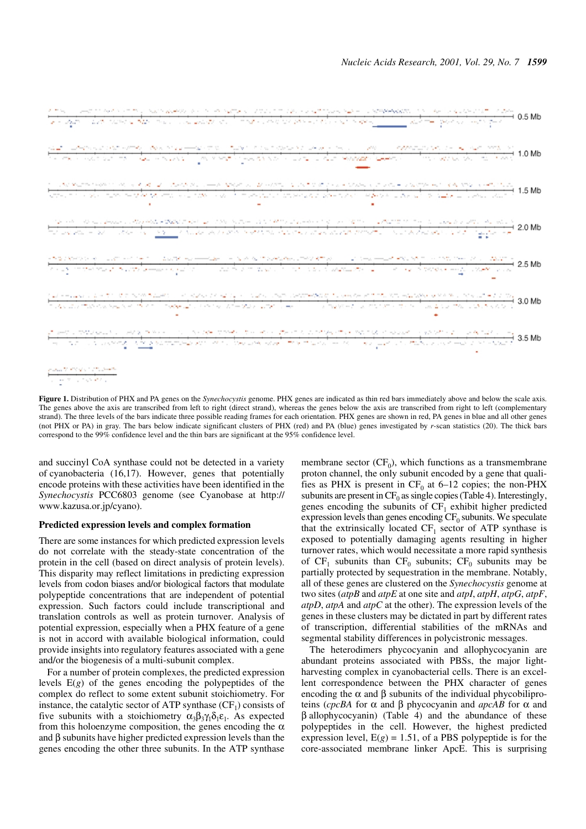

**Figure 1.** Distribution of PHX and PA genes on the *Synechocystis* genome. PHX genes are indicated as thin red bars immediately above and below the scale axis. The genes above the axis are transcribed from left to right (direct strand), whereas the genes below the axis are transcribed from right to left (complementary strand). The three levels of the bars indicate three possible reading frames for each orientation. PHX genes are shown in red, PA genes in blue and all other genes (not PHX or PA) in gray. The bars below indicate significant clusters of PHX (red) and PA (blue) genes investigated by *r*-scan statistics (20). The thick bars correspond to the 99% confidence level and the thin bars are significant at the 95% confidence level.

and succinyl CoA synthase could not be detected in a variety of cyanobacteria (16,17). However, genes that potentially encode proteins with these activities have been identified in the *Synechocystis* PCC6803 genome (see Cyanobase at http:// www.kazusa.or.jp/cyano).

## **Predicted expression levels and complex formation**

There are some instances for which predicted expression levels do not correlate with the steady-state concentration of the protein in the cell (based on direct analysis of protein levels). This disparity may reflect limitations in predicting expression levels from codon biases and/or biological factors that modulate polypeptide concentrations that are independent of potential expression. Such factors could include transcriptional and translation controls as well as protein turnover. Analysis of potential expression, especially when a PHX feature of a gene is not in accord with available biological information, could provide insights into regulatory features associated with a gene and/or the biogenesis of a multi-subunit complex.

For a number of protein complexes, the predicted expression levels E(*g*) of the genes encoding the polypeptides of the complex do reflect to some extent subunit stoichiometry. For instance, the catalytic sector of ATP synthase  $(CF<sub>1</sub>)$  consists of five subunits with a stoichiometry  $\alpha_3\beta_3\gamma_1\delta_1\varepsilon_1$ . As expected from this holoenzyme composition, the genes encoding the  $\alpha$ and β subunits have higher predicted expression levels than the genes encoding the other three subunits. In the ATP synthase

membrane sector  $(CF_0)$ , which functions as a transmembrane proton channel, the only subunit encoded by a gene that qualifies as PHX is present in  $CF_0$  at 6–12 copies; the non-PHX subunits are present in  $CF_0$  as single copies (Table 4). Interestingly, genes encoding the subunits of  $CF_1$  exhibit higher predicted expression levels than genes encoding  $CF_0$  subunits. We speculate that the extrinsically located  $CF_1$  sector of ATP synthase is exposed to potentially damaging agents resulting in higher turnover rates, which would necessitate a more rapid synthesis of  $CF_1$  subunits than  $CF_0$  subunits;  $CF_0$  subunits may be partially protected by sequestration in the membrane. Notably, all of these genes are clustered on the *Synechocystis* genome at two sites (*atpB* and *atpE* at one site and *atpI*, *atpH*, *atpG*, *atpF*, *atpD*, *atpA* and *atpC* at the other). The expression levels of the genes in these clusters may be dictated in part by different rates of transcription, differential stabilities of the mRNAs and segmental stability differences in polycistronic messages.

The heterodimers phycocyanin and allophycocyanin are abundant proteins associated with PBSs, the major lightharvesting complex in cyanobacterial cells. There is an excellent correspondence between the PHX character of genes encoding the  $\alpha$  and  $\beta$  subunits of the individual phycobiliproteins (*cpcBA* for α and β phycocyanin and *apcAB* for α and β allophycocyanin) (Table 4) and the abundance of these polypeptides in the cell. However, the highest predicted expression level,  $E(g) = 1.51$ , of a PBS polypeptide is for the core-associated membrane linker ApcE. This is surprising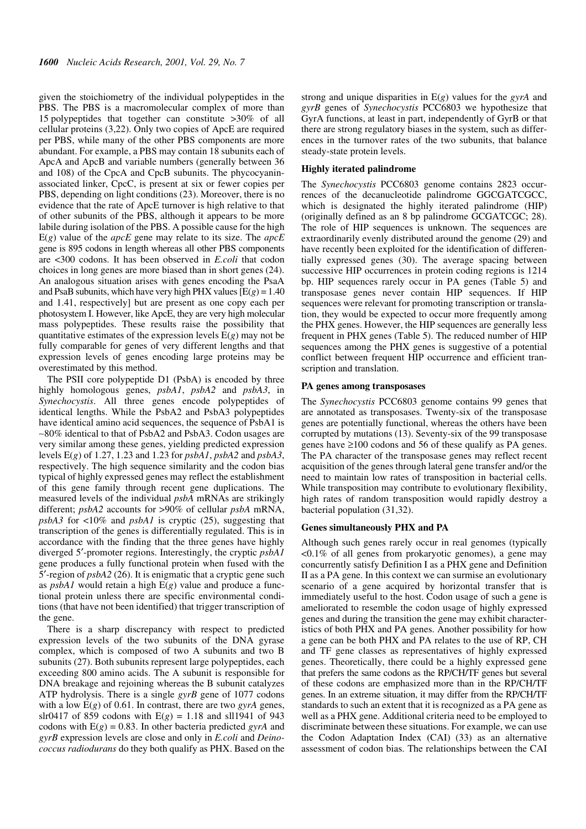given the stoichiometry of the individual polypeptides in the PBS. The PBS is a macromolecular complex of more than 15 polypeptides that together can constitute >30% of all cellular proteins (3,22). Only two copies of ApcE are required per PBS, while many of the other PBS components are more abundant. For example, a PBS may contain 18 subunits each of ApcA and ApcB and variable numbers (generally between 36 and 108) of the CpcA and CpcB subunits. The phycocyaninassociated linker, CpcC, is present at six or fewer copies per PBS, depending on light conditions (23). Moreover, there is no evidence that the rate of ApcE turnover is high relative to that of other subunits of the PBS, although it appears to be more labile during isolation of the PBS. A possible cause for the high E(*g*) value of the *apcE* gene may relate to its size. The *apcE* gene is 895 codons in length whereas all other PBS components are <300 codons. It has been observed in *E.coli* that codon choices in long genes are more biased than in short genes (24). An analogous situation arises with genes encoding the PsaA and PsaB subunits, which have very high PHX values  $[E(g) = 1.40]$ and 1.41, respectively] but are present as one copy each per photosystem I. However, like ApcE, they are very high molecular mass polypeptides. These results raise the possibility that quantitative estimates of the expression levels  $E(g)$  may not be fully comparable for genes of very different lengths and that expression levels of genes encoding large proteins may be overestimated by this method.

The PSII core polypeptide D1 (PsbA) is encoded by three highly homologous genes, *psbA1*, *psbA2* and *psbA3*, in *Synechocystis*. All three genes encode polypeptides of identical lengths. While the PsbA2 and PsbA3 polypeptides have identical amino acid sequences, the sequence of PsbA1 is ∼80% identical to that of PsbA2 and PsbA3. Codon usages are very similar among these genes, yielding predicted expression levels E(*g*) of 1.27, 1.23 and 1.23 for *psbA1*, *psbA2* and *psbA3*, respectively. The high sequence similarity and the codon bias typical of highly expressed genes may reflect the establishment of this gene family through recent gene duplications. The measured levels of the individual *psbA* mRNAs are strikingly different; *psbA2* accounts for >90% of cellular *psbA* mRNA, *psbA3* for <10% and *psbA1* is cryptic (25), suggesting that transcription of the genes is differentially regulated. This is in accordance with the finding that the three genes have highly diverged 5′-promoter regions. Interestingly, the cryptic *psbA1* gene produces a fully functional protein when fused with the 5′-region of *psbA2* (26). It is enigmatic that a cryptic gene such as *psbA1* would retain a high E(*g*) value and produce a functional protein unless there are specific environmental conditions (that have not been identified) that trigger transcription of the gene.

There is a sharp discrepancy with respect to predicted expression levels of the two subunits of the DNA gyrase complex, which is composed of two A subunits and two B subunits (27). Both subunits represent large polypeptides, each exceeding 800 amino acids. The A subunit is responsible for DNA breakage and rejoining whereas the B subunit catalyzes ATP hydrolysis. There is a single *gyrB* gene of 1077 codons with a low E(*g*) of 0.61. In contrast, there are two *gyrA* genes, slr0417 of 859 codons with  $E(g) = 1.18$  and sll1941 of 943 codons with  $E(g) = 0.83$ . In other bacteria predicted *gyrA* and *gyrB* expression levels are close and only in *E.coli* and *Deinococcus radiodurans* do they both qualify as PHX. Based on the strong and unique disparities in E(*g*) values for the *gyrA* and *gyrB* genes of *Synechocystis* PCC6803 we hypothesize that GyrA functions, at least in part, independently of GyrB or that there are strong regulatory biases in the system, such as differences in the turnover rates of the two subunits, that balance steady-state protein levels.

#### **Highly iterated palindrome**

The *Synechocystis* PCC6803 genome contains 2823 occurrences of the decanucleotide palindrome GGCGATCGCC, which is designated the highly iterated palindrome (HIP) (originally defined as an 8 bp palindrome GCGATCGC; 28). The role of HIP sequences is unknown. The sequences are extraordinarily evenly distributed around the genome (29) and have recently been exploited for the identification of differentially expressed genes (30). The average spacing between successive HIP occurrences in protein coding regions is 1214 bp. HIP sequences rarely occur in PA genes (Table 5) and transposase genes never contain HIP sequences. If HIP sequences were relevant for promoting transcription or translation, they would be expected to occur more frequently among the PHX genes. However, the HIP sequences are generally less frequent in PHX genes (Table 5). The reduced number of HIP sequences among the PHX genes is suggestive of a potential conflict between frequent HIP occurrence and efficient transcription and translation.

# **PA genes among transposases**

The *Synechocystis* PCC6803 genome contains 99 genes that are annotated as transposases. Twenty-six of the transposase genes are potentially functional, whereas the others have been corrupted by mutations (13). Seventy-six of the 99 transposase genes have ≥100 codons and 56 of these qualify as PA genes. The PA character of the transposase genes may reflect recent acquisition of the genes through lateral gene transfer and/or the need to maintain low rates of transposition in bacterial cells. While transposition may contribute to evolutionary flexibility, high rates of random transposition would rapidly destroy a bacterial population (31,32).

## **Genes simultaneously PHX and PA**

Although such genes rarely occur in real genomes (typically <0.1% of all genes from prokaryotic genomes), a gene may concurrently satisfy Definition I as a PHX gene and Definition II as a PA gene. In this context we can surmise an evolutionary scenario of a gene acquired by horizontal transfer that is immediately useful to the host. Codon usage of such a gene is ameliorated to resemble the codon usage of highly expressed genes and during the transition the gene may exhibit characteristics of both PHX and PA genes. Another possibility for how a gene can be both PHX and PA relates to the use of RP, CH and TF gene classes as representatives of highly expressed genes. Theoretically, there could be a highly expressed gene that prefers the same codons as the RP/CH/TF genes but several of these codons are emphasized more than in the RP/CH/TF genes. In an extreme situation, it may differ from the RP/CH/TF standards to such an extent that it is recognized as a PA gene as well as a PHX gene. Additional criteria need to be employed to discriminate between these situations. For example, we can use the Codon Adaptation Index (CAI) (33) as an alternative assessment of codon bias. The relationships between the CAI